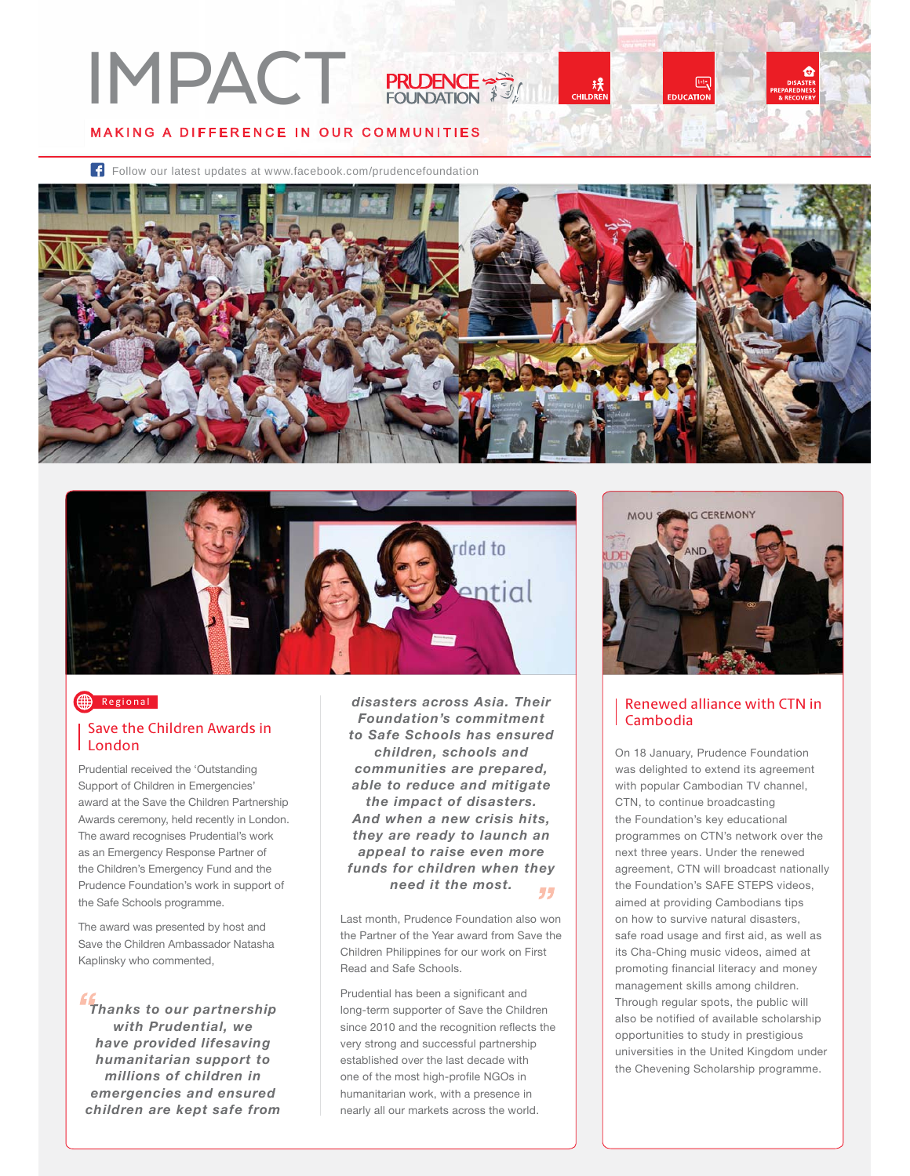# MAKING A DIFFERENCE IN OUR COMMUNITIES IMPACT PRUSERE-





### Regional

#### Save the Children Awards in London

Prudential received the 'Outstanding Support of Children in Emergencies' award at the Save the Children Partnership Awards ceremony, held recently in London. The award recognises Prudential's work as an Emergency Response Partner of the Children's Emergency Fund and the Prudence Foundation's work in support of the Safe Schools programme.

The award was presented by host and Save the Children Ambassador Natasha Kaplinsky who commented,

*Thanks to our partnership with Prudential, we have provided lifesaving humanitarian support to millions of children in emergencies and ensured children are kept safe from* 

*disasters across Asia. Their Foundation's commitment to Safe Schools has ensured children, schools and communities are prepared, able to reduce and mitigate the impact of disasters. And when a new crisis hits, they are ready to launch an appeal to raise even more funds for children when they need it the most.* 44

Last month, Prudence Foundation also won the Partner of the Year award from Save the Children Philippines for our work on First Read and Safe Schools.

Prudential has been a significant and long-term supporter of Save the Children since 2010 and the recognition reflects the very strong and successful partnership established over the last decade with one of the most high-profile NGOs in humanitarian work, with a presence in nearly all our markets across the world.



吗

## Renewed alliance with CTN in

On 18 January, Prudence Foundation was delighted to extend its agreement with popular Cambodian TV channel, CTN, to continue broadcasting the Foundation's key educational programmes on CTN's network over the next three years. Under the renewed agreement, CTN will broadcast nationally the Foundation's SAFE STEPS videos, aimed at providing Cambodians tips on how to survive natural disasters, safe road usage and first aid, as well as its Cha-Ching music videos, aimed at promoting financial literacy and money management skills among children. Through regular spots, the public will also be notified of available scholarship opportunities to study in prestigious universities in the United Kingdom under the Chevening Scholarship programme.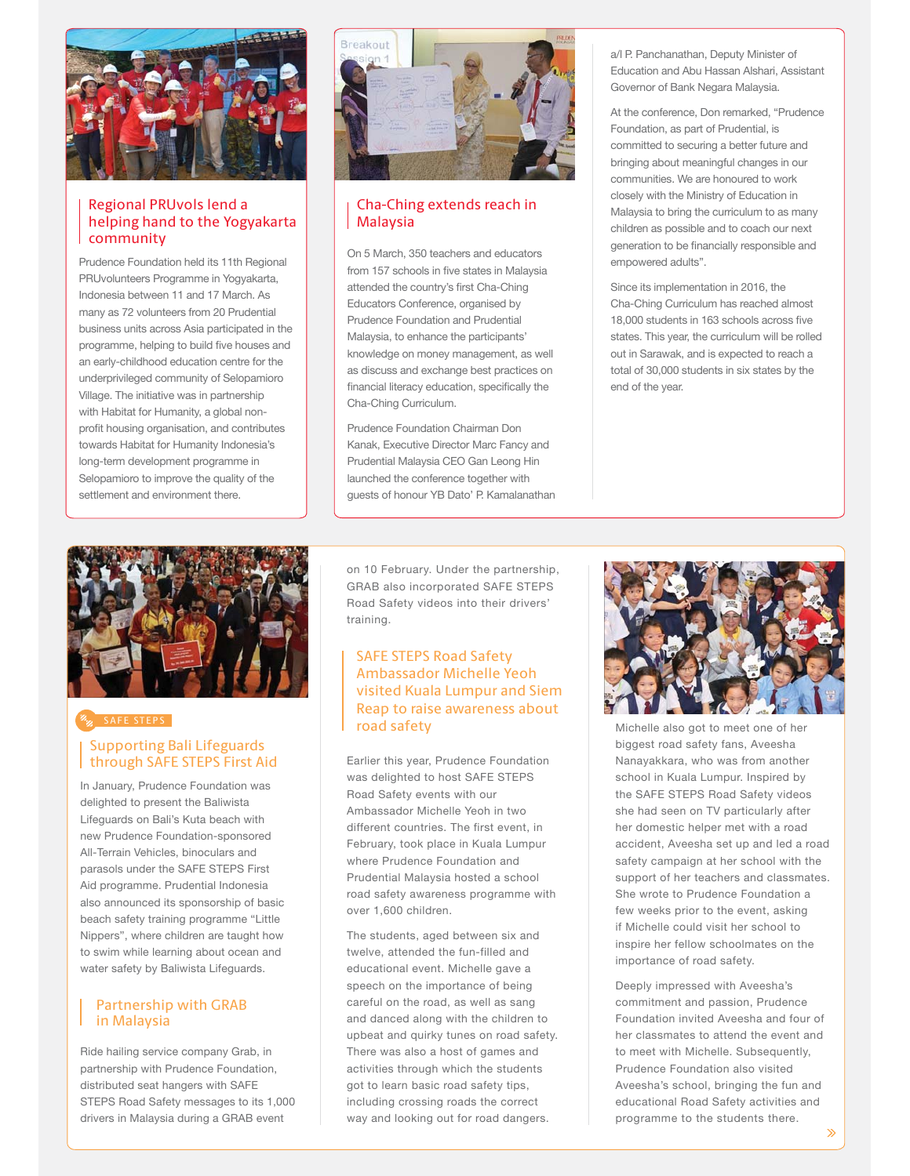

#### Regional PRUvols lend a helping hand to the Yogyakarta community

Prudence Foundation held its 11th Regional PRUvolunteers Programme in Yogyakarta, Indonesia between 11 and 17 March. As many as 72 volunteers from 20 Prudential business units across Asia participated in the programme, helping to build five houses and an early-childhood education centre for the underprivileged community of Selopamioro Village. The initiative was in partnership with Habitat for Humanity, a global nonprofit housing organisation, and contributes towards Habitat for Humanity Indonesia's long-term development programme in Selopamioro to improve the quality of the settlement and environment there.



#### Cha-Ching extends reach in Malaysia

On 5 March, 350 teachers and educators from 157 schools in five states in Malaysia attended the country's first Cha-Ching Educators Conference, organised by Prudence Foundation and Prudential Malaysia, to enhance the participants' knowledge on money management, as well as discuss and exchange best practices on financial literacy education, specifically the Cha-Ching Curriculum.

Prudence Foundation Chairman Don Kanak, Executive Director Marc Fancy and Prudential Malaysia CEO Gan Leong Hin launched the conference together with guests of honour YB Dato' P. Kamalanathan a/l P. Panchanathan, Deputy Minister of Education and Abu Hassan Alshari, Assistant Governor of Bank Negara Malaysia.

At the conference, Don remarked, "Prudence Foundation, as part of Prudential, is committed to securing a better future and bringing about meaningful changes in our communities. We are honoured to work closely with the Ministry of Education in Malaysia to bring the curriculum to as many children as possible and to coach our next generation to be financially responsible and empowered adults".

Since its implementation in 2016, the Cha-Ching Curriculum has reached almost 18,000 students in 163 schools across five states. This year, the curriculum will be rolled out in Sarawak, and is expected to reach a total of 30,000 students in six states by the end of the year.



#### SAFE STEPS

#### Supporting Bali Lifeguards through SAFE STEPS First Aid

In January, Prudence Foundation was delighted to present the Baliwista Lifeguards on Bali's Kuta beach with new Prudence Foundation-sponsored All-Terrain Vehicles, binoculars and parasols under the SAFE STEPS First Aid programme. Prudential Indonesia also announced its sponsorship of basic beach safety training programme "Little Nippers", where children are taught how to swim while learning about ocean and water safety by Baliwista Lifeguards.

#### Partnership with GRAB in Malaysia

Ride hailing service company Grab, in partnership with Prudence Foundation, distributed seat hangers with SAFE STEPS Road Safety messages to its 1,000 drivers in Malaysia during a GRAB event

on 10 February. Under the partnership, GRAB also incorporated SAFE STEPS Road Safety videos into their drivers' training.

#### SAFE STEPS Road Safety Ambassador Michelle Yeoh visited Kuala Lumpur and Siem Reap to raise awareness about road safety

Earlier this year, Prudence Foundation was delighted to host SAFE STEPS Road Safety events with our Ambassador Michelle Yeoh in two different countries. The first event, in February, took place in Kuala Lumpur where Prudence Foundation and Prudential Malaysia hosted a school road safety awareness programme with over 1,600 children.

The students, aged between six and twelve, attended the fun-filled and educational event. Michelle gave a speech on the importance of being careful on the road, as well as sang and danced along with the children to upbeat and quirky tunes on road safety. There was also a host of games and activities through which the students got to learn basic road safety tips, including crossing roads the correct way and looking out for road dangers.



Michelle also got to meet one of her biggest road safety fans, Aveesha Nanayakkara, who was from another school in Kuala Lumpur. Inspired by the SAFE STEPS Road Safety videos she had seen on TV particularly after her domestic helper met with a road accident, Aveesha set up and led a road safety campaign at her school with the support of her teachers and classmates. She wrote to Prudence Foundation a few weeks prior to the event, asking if Michelle could visit her school to inspire her fellow schoolmates on the importance of road safety.

Deeply impressed with Aveesha's commitment and passion, Prudence Foundation invited Aveesha and four of her classmates to attend the event and to meet with Michelle, Subsequently, Prudence Foundation also visited Aveesha's school, bringing the fun and educational Road Safety activities and programme to the students there.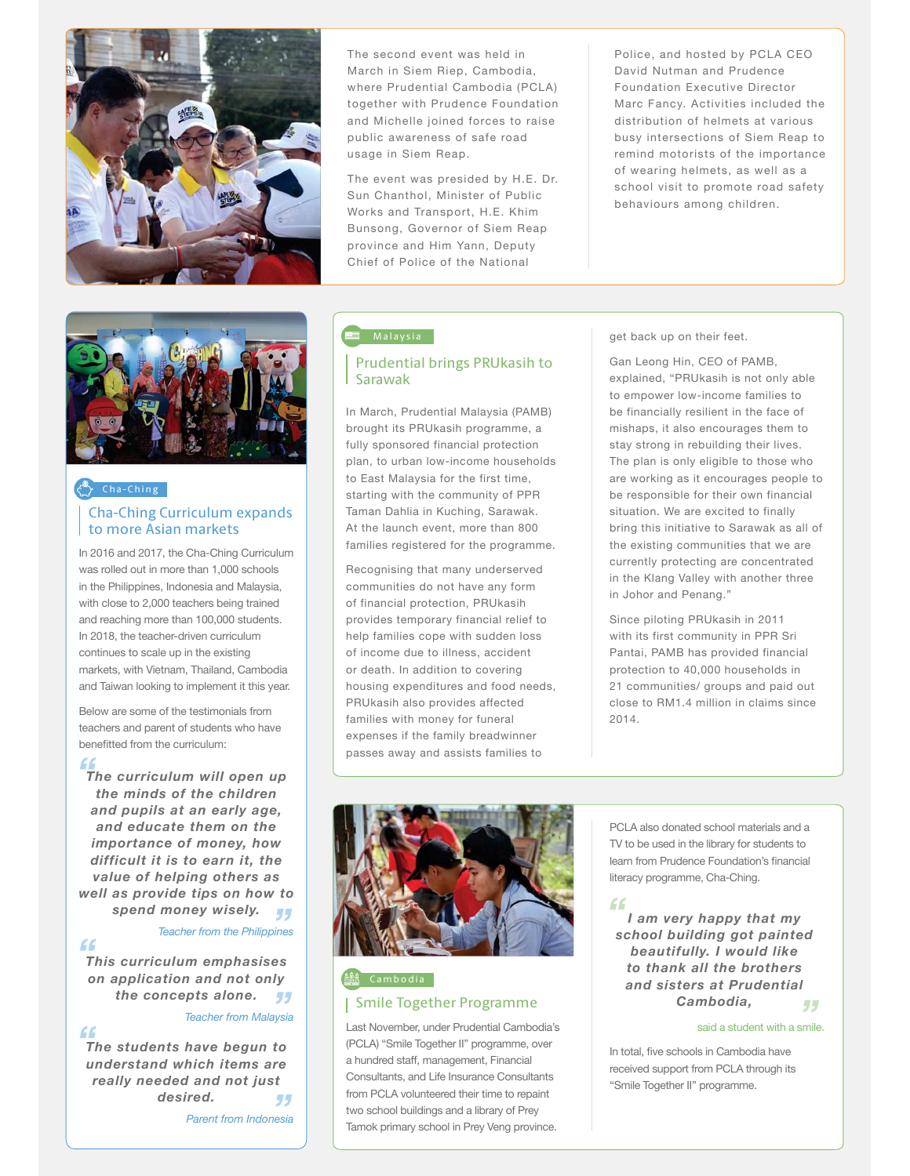

The second event was held in March in Siem Riep, Cambodia, where Prudential Cambodia (PCLA) together with Prudence Foundation and Michelle joined forces to raise public awareness of safe road usage in Siem Reap.

The event was presided by H.E. Dr. Sun Chanthol, Minister of Public Works and Transport, H.E. Khim Bunsong, Governor of Siem Reap province and Him Yann, Deputy Chief of Police of the National

Police, and hosted by PCLA CEO David Nutman and Prudence Foundation Executive Director Marc Fancy. Activities included the distribution of helmets at various busy intersections of Siem Reap to remind motorists of the importance of wearing helmets, as well as a school visit to promote road safety behaviours among children.



#### Prudential brings PRUkasih to Sarawak

In March, Prudential Malaysia (PAMB) brought its PRUkasih programme, a fully sponsored financial protection plan, to urban low-income households to East Malaysia for the first time, starting with the community of PPR Taman Dahlia in Kuching, Sarawak. At the launch event, more than 800 families registered for the programme.

Recognising that many underserved communities do not have any form of financial protection, PRUkasih provides temporary financial relief to help families cope with sudden loss of income due to illness, accident or death. In addition to covering housing expenditures and food needs, PRUkasih also provides affected families with money for funeral expenses if the family breadwinner passes away and assists families to

get back up on their feet.

Gan Leong Hin, CEO of PAMB, explained, "PRUkasih is not only able to empower low-income families to be financially resilient in the face of mishaps, it also encourages them to stay strong in rebuilding their lives. The plan is only eligible to those who are working as it encourages people to be responsible for their own financial situation. We are excited to finally bring this initiative to Sarawak as all of the existing communities that we are currently protecting are concentrated in the Klang Valley with another three in Johor and Penang."

Since piloting PRUkasih in 2011 with its first community in PPR Sri Pantai, PAMB has provided financial protection to 40,000 households in 21 communities/ groups and paid out close to RM1.4 million in claims since 2014.



#### Smile Together Programme <sup>論</sub> Cambodia</sup>

Last November, under Prudential Cambodia's (PCLA) "Smile Together II" programme, over a hundred staff, management, Financial Consultants, and Life Insurance Consultants from PCLA volunteered their time to repaint two school buildings and a library of Prey Tamok primary school in Prey Veng province.

PCLA also donated school materials and a TV to be used in the library for students to learn from Prudence Foundation's financial literacy programme, Cha-Ching.

"

*I am very happy that my school building got painted beautifully. I would like to thank all the brothers and sisters at Prudential Cambodia,* 55

said a student with a smile.

In total, five schools in Cambodia have received support from PCLA through its "Smile Together II" programme.

#### Cha-Ching

#### Cha-Ching Curriculum expands to more Asian markets

In 2016 and 2017, the Cha-Ching Curriculum was rolled out in more than 1,000 schools in the Philippines, Indonesia and Malaysia, with close to 2,000 teachers being trained and reaching more than 100,000 students. In 2018, the teacher-driven curriculum continues to scale up in the existing markets, with Vietnam, Thailand, Cambodia and Taiwan looking to implement it this year.

Below are some of the testimonials from teachers and parent of students who have benefitted from the curriculum:

#### "

*The curriculum will open up the minds of the children and pupils at an early age, and educate them on the importance of money, how difficult it is to earn it, the value of helping others as well as provide tips on how to spend money wisely.*

- 77 *Teacher from the Philippines*

 $\epsilon$ 

*This curriculum emphasises on application and not only the concepts alone. Teacher from Malaysia*

#### $66$

*The students have begun to understand which items are really needed and not just desired.*  -7-7

*Parent from Indonesia*